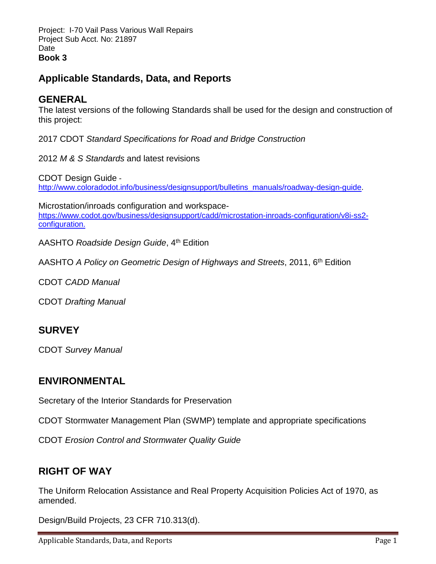Project: I-70 Vail Pass Various Wall Repairs Project Sub Acct. No: 21897 **Date Book 3** 

# **Applicable Standards, Data, and Reports**

#### **GENERAL**

The latest versions of the following Standards shall be used for the design and construction of this project:

2017 CDOT *Standard Specifications for Road and Bridge Construction*

2012 *M & S Standards* and latest revisions

CDOT Design Guide [http://www.coloradodot.info/business/designsupport/bulletins\\_manuals/roadway-design-guide.](http://www.coloradodot.info/business/designsupport/bulletins_manuals/roadway-design-guide)

Microstation/inroads configuration and workspace[https://www.codot.gov/business/designsupport/cadd/microstation-inroads-configuration/v8i-ss2](https://www.codot.gov/business/designsupport/cadd/microstation-inroads-configuration/v8i-ss2-configuration) [configuration.](https://www.codot.gov/business/designsupport/cadd/microstation-inroads-configuration/v8i-ss2-configuration)

AASHTO *Roadside Design Guide*, 4th Edition

AASHTO *A Policy on Geometric Design of Highways and Streets*, 2011, 6th Edition

CDOT *CADD Manual* 

CDOT *Drafting Manual*

### **SURVEY**

CDOT *Survey Manual*

### **ENVIRONMENTAL**

Secretary of the Interior Standards for Preservation

CDOT Stormwater Management Plan (SWMP) template and appropriate specifications

CDOT *Erosion Control and Stormwater Quality Guide*

### **RIGHT OF WAY**

The Uniform Relocation Assistance and Real Property Acquisition Policies Act of 1970, as amended.

Design/Build Projects, 23 CFR 710.313(d).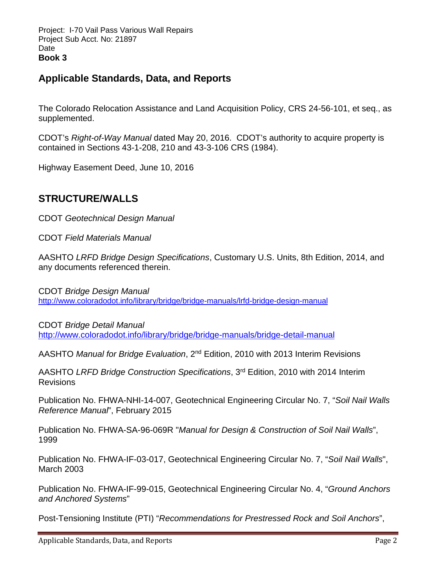Project: I-70 Vail Pass Various Wall Repairs Project Sub Acct. No: 21897 **Date Book 3** 

### **Applicable Standards, Data, and Reports**

The Colorado Relocation Assistance and Land Acquisition Policy, CRS 24-56-101, et seq., as supplemented.

CDOT's *Right-of-Way Manual* dated May 20, 2016. CDOT's authority to acquire property is contained in Sections 43-1-208, 210 and 43-3-106 CRS (1984).

Highway Easement Deed, June 10, 2016

### **STRUCTURE/WALLS**

CDOT *Geotechnical Design Manual*

CDOT *Field Materials Manual*

AASHTO *LRFD Bridge Design Specifications*, Customary U.S. Units, 8th Edition, 2014, and any documents referenced therein.

CDOT *Bridge Design Manual* <http://www.coloradodot.info/library/bridge/bridge-manuals/lrfd-bridge-design-manual>

CDOT *Bridge Detail Manual* <http://www.coloradodot.info/library/bridge/bridge-manuals/bridge-detail-manual>

AASHTO *Manual for Bridge Evaluation*, 2nd Edition, 2010 with 2013 Interim Revisions

AASHTO *LRFD Bridge Construction Specifications*, 3rd Edition, 2010 with 2014 Interim Revisions

Publication No. FHWA-NHI-14-007, Geotechnical Engineering Circular No. 7, "*Soil Nail Walls Reference Manual*", February 2015

Publication No. FHWA-SA-96-069R "*Manual for Design & Construction of Soil Nail Walls*", 1999

Publication No. FHWA-IF-03-017, Geotechnical Engineering Circular No. 7, "*Soil Nail Walls*", March 2003

Publication No. FHWA-IF-99-015, Geotechnical Engineering Circular No. 4, "*Ground Anchors and Anchored Systems*"

Post-Tensioning Institute (PTI) "*Recommendations for Prestressed Rock and Soil Anchors*",